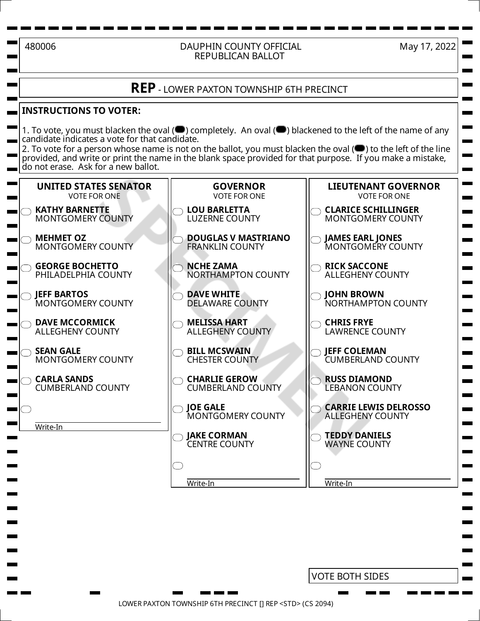## 480006 DAUPHIN COUNTY OFFICIAL REPUBLICAN BALLOT

May 17, 2022

## **REP** - LOWER PAXTON TOWNSHIP 6TH PRECINCT **INSTRUCTIONS TO VOTER:** 1. To vote, you must blacken the oval (**\*\*\***) completely. An oval (\*\*\*) blackened to the left of the name of any candidate indicates a vote for that candidate. 2. To vote for a person whose name is not on the ballot, you must blacken the oval ( $\blacksquare$ ) to the left of the line provided, and write or print the name in the blank space provided for that purpose. If you make a mistake, do not erase. Ask for a new ballot. **UNITED STATES SENATOR GOVERNOR LIEUTENANT GOVERNOR** VOTE FOR ONE VOTE FOR ONE VOTE FOR ONE **CLARICE SCHILLINGER KATHY BARNETTE LOU BARLETTA** MONTGOMERY COUNTY LUZERNE COUNTY MONTGOMERY COUNTY **DOUGLAS V MASTRIANO JAMES EARL JONES MEHMET OZ** MONTGOMERY COUNTY MONTGOMERY COUNTY FRANKLIN COUNTY **GEORGE BOCHETTO NCHE ZAMA RICK SACCONE** PHILADELPHIA COUNTY NORTHAMPTON COUNTY ALLEGHENY COUNTY **JEFF BARTOS DAVE WHITE JOHN BROWN** MONTGOMERY COUNTY DELAWARE COUNTY NORTHAMPTON COUNTY  $\frown$  DAVE MCCORMICK **MELISSA HART CHRIS FRYE** LAWRENCE COUNTY ALLEGHENY COUNTY ALLEGHENY COUNTY **SEAN GALE BILL MCSWAIN JEFF COLEMAN** MONTGOMERY COUNTY CHESTER COUNTY CUMBERLAND COUNTY **CARLA SANDS CHARLIE GEROW RUSS DIAMOND** CUMBERLAND COUNTY CUMBERLAND COUNTY LEBANON COUNTY **JOE GALE CARRIE LEWIS DELROSSO** MONTGOMERY COUNTY ALLEGHENY COUNTY Write-In **TEDDY DANIELS JAKE CORMAN** CENTRE COUNTY WAYNE COUNTY  $\left( \begin{array}{c} \cdot \end{array} \right)$ Write-In Write-In

VOTE BOTH SIDES